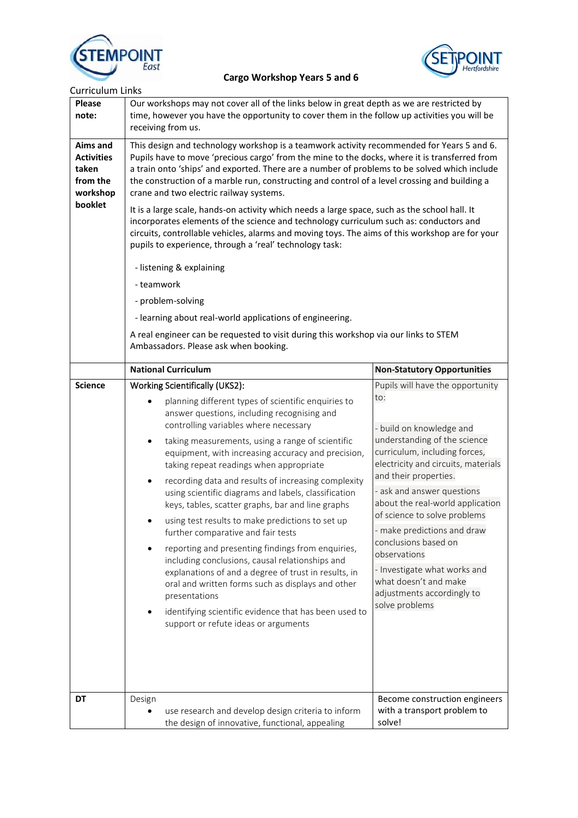



| <b>Curriculum Links</b>                                                   |                                                                                                                                                                                                                                                                                                                                                                                                                                                                                                                                                                                                                                                                                                                                                                                                                                                                                                                                                                                                                    |                                                                                                                                                                                                                                                                                                                                                |  |
|---------------------------------------------------------------------------|--------------------------------------------------------------------------------------------------------------------------------------------------------------------------------------------------------------------------------------------------------------------------------------------------------------------------------------------------------------------------------------------------------------------------------------------------------------------------------------------------------------------------------------------------------------------------------------------------------------------------------------------------------------------------------------------------------------------------------------------------------------------------------------------------------------------------------------------------------------------------------------------------------------------------------------------------------------------------------------------------------------------|------------------------------------------------------------------------------------------------------------------------------------------------------------------------------------------------------------------------------------------------------------------------------------------------------------------------------------------------|--|
| <b>Please</b><br>note:                                                    | Our workshops may not cover all of the links below in great depth as we are restricted by<br>time, however you have the opportunity to cover them in the follow up activities you will be<br>receiving from us.                                                                                                                                                                                                                                                                                                                                                                                                                                                                                                                                                                                                                                                                                                                                                                                                    |                                                                                                                                                                                                                                                                                                                                                |  |
| Aims and<br><b>Activities</b><br>taken<br>from the<br>workshop<br>booklet | This design and technology workshop is a teamwork activity recommended for Years 5 and 6.<br>Pupils have to move 'precious cargo' from the mine to the docks, where it is transferred from<br>a train onto 'ships' and exported. There are a number of problems to be solved which include<br>the construction of a marble run, constructing and control of a level crossing and building a<br>crane and two electric railway systems.<br>It is a large scale, hands-on activity which needs a large space, such as the school hall. It<br>incorporates elements of the science and technology curriculum such as: conductors and<br>circuits, controllable vehicles, alarms and moving toys. The aims of this workshop are for your<br>pupils to experience, through a 'real' technology task:<br>- listening & explaining<br>- teamwork<br>- problem-solving<br>- learning about real-world applications of engineering.<br>A real engineer can be requested to visit during this workshop via our links to STEM |                                                                                                                                                                                                                                                                                                                                                |  |
|                                                                           |                                                                                                                                                                                                                                                                                                                                                                                                                                                                                                                                                                                                                                                                                                                                                                                                                                                                                                                                                                                                                    |                                                                                                                                                                                                                                                                                                                                                |  |
|                                                                           |                                                                                                                                                                                                                                                                                                                                                                                                                                                                                                                                                                                                                                                                                                                                                                                                                                                                                                                                                                                                                    |                                                                                                                                                                                                                                                                                                                                                |  |
|                                                                           |                                                                                                                                                                                                                                                                                                                                                                                                                                                                                                                                                                                                                                                                                                                                                                                                                                                                                                                                                                                                                    |                                                                                                                                                                                                                                                                                                                                                |  |
|                                                                           |                                                                                                                                                                                                                                                                                                                                                                                                                                                                                                                                                                                                                                                                                                                                                                                                                                                                                                                                                                                                                    |                                                                                                                                                                                                                                                                                                                                                |  |
|                                                                           |                                                                                                                                                                                                                                                                                                                                                                                                                                                                                                                                                                                                                                                                                                                                                                                                                                                                                                                                                                                                                    |                                                                                                                                                                                                                                                                                                                                                |  |
|                                                                           | <b>National Curriculum</b>                                                                                                                                                                                                                                                                                                                                                                                                                                                                                                                                                                                                                                                                                                                                                                                                                                                                                                                                                                                         | <b>Non-Statutory Opportunities</b>                                                                                                                                                                                                                                                                                                             |  |
| <b>Science</b>                                                            | <b>Working Scientifically (UKS2):</b>                                                                                                                                                                                                                                                                                                                                                                                                                                                                                                                                                                                                                                                                                                                                                                                                                                                                                                                                                                              | Pupils will have the opportunity                                                                                                                                                                                                                                                                                                               |  |
|                                                                           | planning different types of scientific enquiries to<br>answer questions, including recognising and<br>controlling variables where necessary<br>taking measurements, using a range of scientific<br>equipment, with increasing accuracy and precision,                                                                                                                                                                                                                                                                                                                                                                                                                                                                                                                                                                                                                                                                                                                                                              | to:<br>- build on knowledge and<br>understanding of the science<br>curriculum, including forces,                                                                                                                                                                                                                                               |  |
|                                                                           | taking repeat readings when appropriate<br>recording data and results of increasing complexity<br>$\bullet$<br>using scientific diagrams and labels, classification<br>keys, tables, scatter graphs, bar and line graphs<br>using test results to make predictions to set up<br>further comparative and fair tests<br>reporting and presenting findings from enquiries,<br>including conclusions, causal relationships and<br>explanations of and a degree of trust in results, in<br>oral and written forms such as displays and other<br>presentations<br>identifying scientific evidence that has been used to<br>support or refute ideas or arguments                                                                                                                                                                                                                                                                                                                                                          | electricity and circuits, materials<br>and their properties.<br>- ask and answer questions<br>about the real-world application<br>of science to solve problems<br>- make predictions and draw<br>conclusions based on<br>observations<br>- Investigate what works and<br>what doesn't and make<br>adjustments accordingly to<br>solve problems |  |
| DT                                                                        | Design<br>use research and develop design criteria to inform                                                                                                                                                                                                                                                                                                                                                                                                                                                                                                                                                                                                                                                                                                                                                                                                                                                                                                                                                       | Become construction engineers<br>with a transport problem to                                                                                                                                                                                                                                                                                   |  |